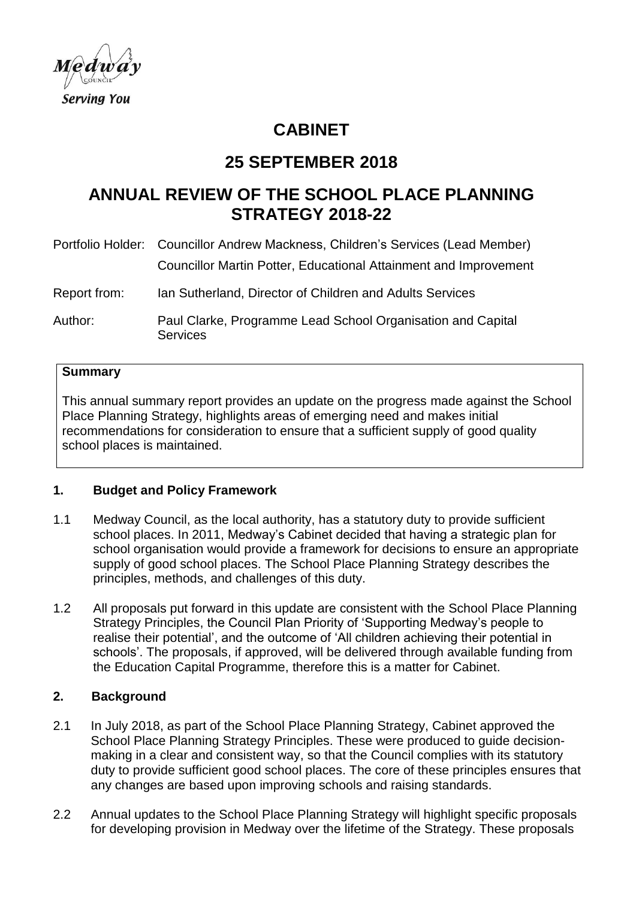

# **CABINET**

# **25 SEPTEMBER 2018**

# **ANNUAL REVIEW OF THE SCHOOL PLACE PLANNING STRATEGY 2018-22**

|              | Portfolio Holder: Councillor Andrew Mackness, Children's Services (Lead Member) |
|--------------|---------------------------------------------------------------------------------|
|              | Councillor Martin Potter, Educational Attainment and Improvement                |
| Report from: | Ian Sutherland, Director of Children and Adults Services                        |
| Author:      | Paul Clarke, Programme Lead School Organisation and Capital<br>Services         |

#### **Summary**

This annual summary report provides an update on the progress made against the School Place Planning Strategy, highlights areas of emerging need and makes initial recommendations for consideration to ensure that a sufficient supply of good quality school places is maintained.

#### **1. Budget and Policy Framework**

- 1.1 Medway Council, as the local authority, has a statutory duty to provide sufficient school places. In 2011, Medway's Cabinet decided that having a strategic plan for school organisation would provide a framework for decisions to ensure an appropriate supply of good school places. The School Place Planning Strategy describes the principles, methods, and challenges of this duty.
- 1.2 All proposals put forward in this update are consistent with the School Place Planning Strategy Principles, the Council Plan Priority of 'Supporting Medway's people to realise their potential', and the outcome of 'All children achieving their potential in schools'. The proposals, if approved, will be delivered through available funding from the Education Capital Programme, therefore this is a matter for Cabinet.

### **2. Background**

- 2.1 In July 2018, as part of the School Place Planning Strategy, Cabinet approved the School Place Planning Strategy Principles. These were produced to guide decisionmaking in a clear and consistent way, so that the Council complies with its statutory duty to provide sufficient good school places. The core of these principles ensures that any changes are based upon improving schools and raising standards.
- 2.2 Annual updates to the School Place Planning Strategy will highlight specific proposals for developing provision in Medway over the lifetime of the Strategy. These proposals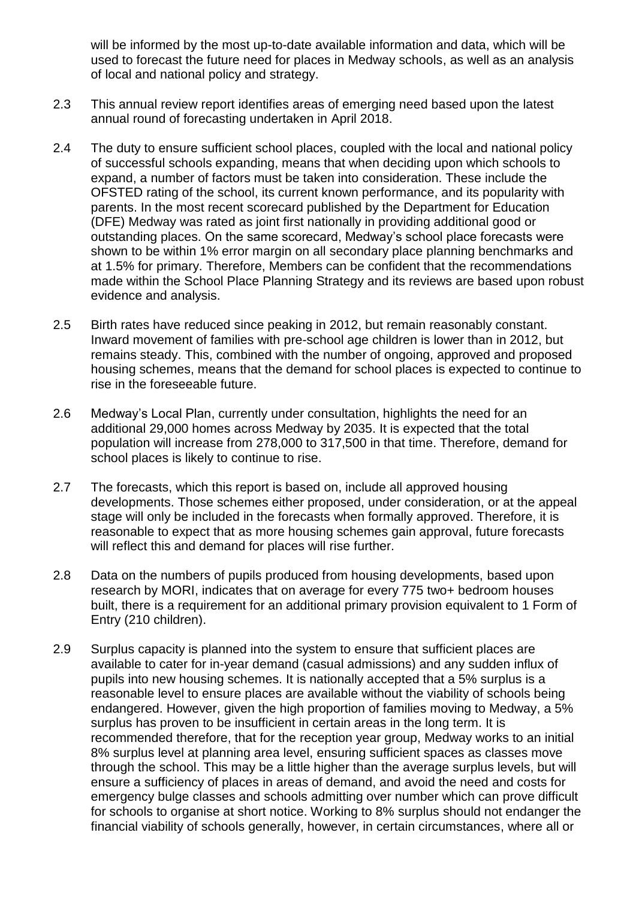will be informed by the most up-to-date available information and data, which will be used to forecast the future need for places in Medway schools, as well as an analysis of local and national policy and strategy.

- 2.3 This annual review report identifies areas of emerging need based upon the latest annual round of forecasting undertaken in April 2018.
- 2.4 The duty to ensure sufficient school places, coupled with the local and national policy of successful schools expanding, means that when deciding upon which schools to expand, a number of factors must be taken into consideration. These include the OFSTED rating of the school, its current known performance, and its popularity with parents. In the most recent scorecard published by the Department for Education (DFE) Medway was rated as joint first nationally in providing additional good or outstanding places. On the same scorecard, Medway's school place forecasts were shown to be within 1% error margin on all secondary place planning benchmarks and at 1.5% for primary. Therefore, Members can be confident that the recommendations made within the School Place Planning Strategy and its reviews are based upon robust evidence and analysis.
- 2.5 Birth rates have reduced since peaking in 2012, but remain reasonably constant. Inward movement of families with pre-school age children is lower than in 2012, but remains steady. This, combined with the number of ongoing, approved and proposed housing schemes, means that the demand for school places is expected to continue to rise in the foreseeable future.
- 2.6 Medway's Local Plan, currently under consultation, highlights the need for an additional 29,000 homes across Medway by 2035. It is expected that the total population will increase from 278,000 to 317,500 in that time. Therefore, demand for school places is likely to continue to rise.
- 2.7 The forecasts, which this report is based on, include all approved housing developments. Those schemes either proposed, under consideration, or at the appeal stage will only be included in the forecasts when formally approved. Therefore, it is reasonable to expect that as more housing schemes gain approval, future forecasts will reflect this and demand for places will rise further.
- 2.8 Data on the numbers of pupils produced from housing developments, based upon research by MORI, indicates that on average for every 775 two+ bedroom houses built, there is a requirement for an additional primary provision equivalent to 1 Form of Entry (210 children).
- 2.9 Surplus capacity is planned into the system to ensure that sufficient places are available to cater for in-year demand (casual admissions) and any sudden influx of pupils into new housing schemes. It is nationally accepted that a 5% surplus is a reasonable level to ensure places are available without the viability of schools being endangered. However, given the high proportion of families moving to Medway, a 5% surplus has proven to be insufficient in certain areas in the long term. It is recommended therefore, that for the reception year group, Medway works to an initial 8% surplus level at planning area level, ensuring sufficient spaces as classes move through the school. This may be a little higher than the average surplus levels, but will ensure a sufficiency of places in areas of demand, and avoid the need and costs for emergency bulge classes and schools admitting over number which can prove difficult for schools to organise at short notice. Working to 8% surplus should not endanger the financial viability of schools generally, however, in certain circumstances, where all or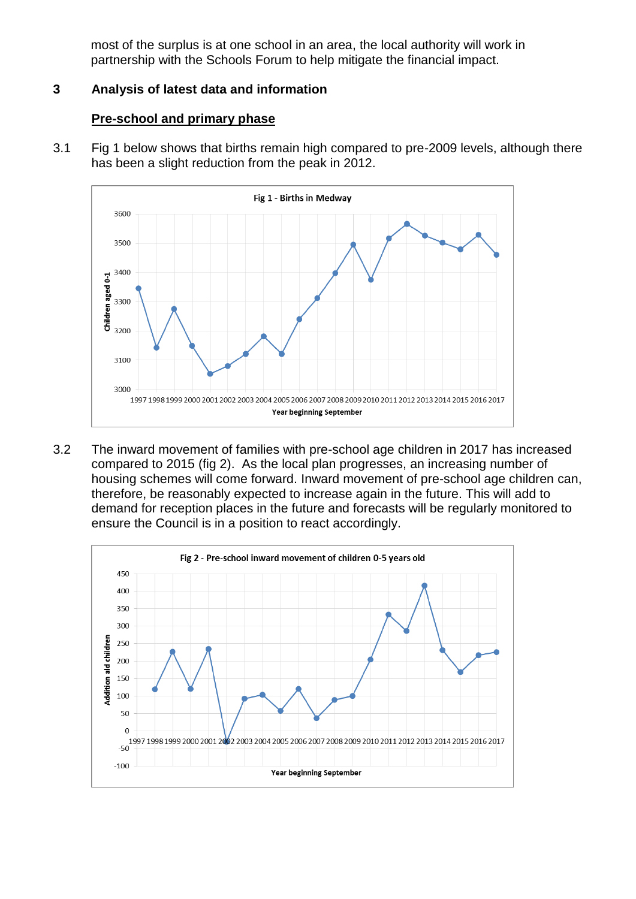most of the surplus is at one school in an area, the local authority will work in partnership with the Schools Forum to help mitigate the financial impact.

## **3 Analysis of latest data and information**

### **Pre-school and primary phase**

3.1 Fig 1 below shows that births remain high compared to pre-2009 levels, although there has been a slight reduction from the peak in 2012.



3.2 The inward movement of families with pre-school age children in 2017 has increased compared to 2015 (fig 2). As the local plan progresses, an increasing number of housing schemes will come forward. Inward movement of pre-school age children can, therefore, be reasonably expected to increase again in the future. This will add to demand for reception places in the future and forecasts will be regularly monitored to ensure the Council is in a position to react accordingly.

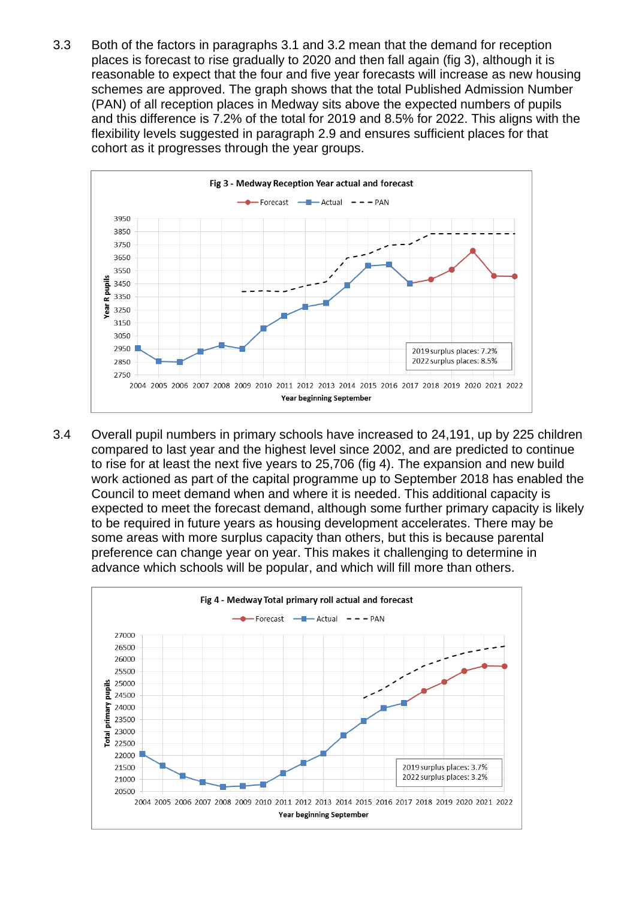3.3 Both of the factors in paragraphs 3.1 and 3.2 mean that the demand for reception places is forecast to rise gradually to 2020 and then fall again (fig 3), although it is reasonable to expect that the four and five year forecasts will increase as new housing schemes are approved. The graph shows that the total Published Admission Number (PAN) of all reception places in Medway sits above the expected numbers of pupils and this difference is 7.2% of the total for 2019 and 8.5% for 2022. This aligns with the flexibility levels suggested in paragraph 2.9 and ensures sufficient places for that cohort as it progresses through the year groups.



3.4 Overall pupil numbers in primary schools have increased to 24,191, up by 225 children compared to last year and the highest level since 2002, and are predicted to continue to rise for at least the next five years to 25,706 (fig 4). The expansion and new build work actioned as part of the capital programme up to September 2018 has enabled the Council to meet demand when and where it is needed. This additional capacity is expected to meet the forecast demand, although some further primary capacity is likely to be required in future years as housing development accelerates. There may be some areas with more surplus capacity than others, but this is because parental preference can change year on year. This makes it challenging to determine in advance which schools will be popular, and which will fill more than others.

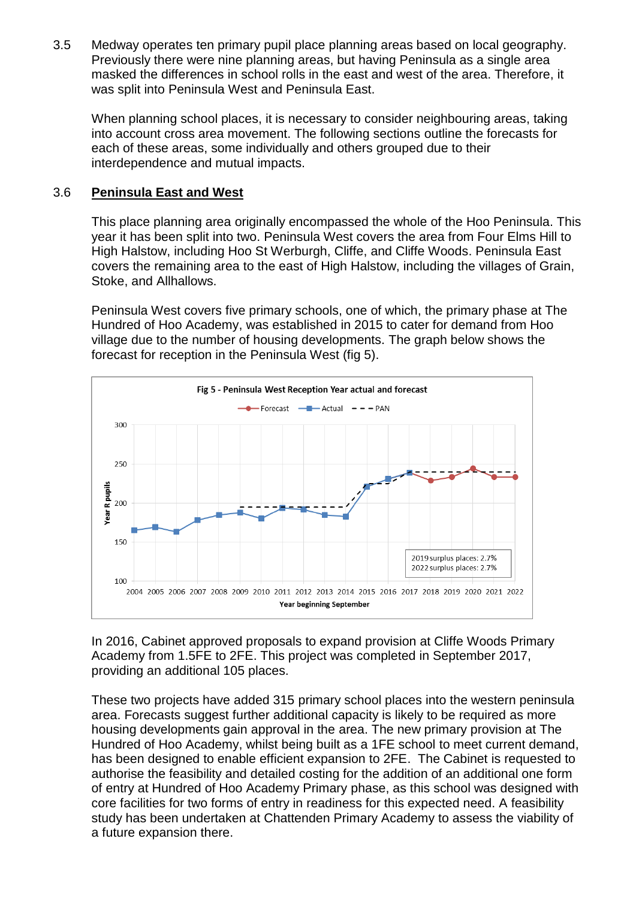3.5 Medway operates ten primary pupil place planning areas based on local geography. Previously there were nine planning areas, but having Peninsula as a single area masked the differences in school rolls in the east and west of the area. Therefore, it was split into Peninsula West and Peninsula East.

When planning school places, it is necessary to consider neighbouring areas, taking into account cross area movement. The following sections outline the forecasts for each of these areas, some individually and others grouped due to their interdependence and mutual impacts.

### 3.6 **Peninsula East and West**

This place planning area originally encompassed the whole of the Hoo Peninsula. This year it has been split into two. Peninsula West covers the area from Four Elms Hill to High Halstow, including Hoo St Werburgh, Cliffe, and Cliffe Woods. Peninsula East covers the remaining area to the east of High Halstow, including the villages of Grain, Stoke, and Allhallows.

Peninsula West covers five primary schools, one of which, the primary phase at The Hundred of Hoo Academy, was established in 2015 to cater for demand from Hoo village due to the number of housing developments. The graph below shows the forecast for reception in the Peninsula West (fig 5).



In 2016, Cabinet approved proposals to expand provision at Cliffe Woods Primary Academy from 1.5FE to 2FE. This project was completed in September 2017, providing an additional 105 places.

These two projects have added 315 primary school places into the western peninsula area. Forecasts suggest further additional capacity is likely to be required as more housing developments gain approval in the area. The new primary provision at The Hundred of Hoo Academy, whilst being built as a 1FE school to meet current demand, has been designed to enable efficient expansion to 2FE. The Cabinet is requested to authorise the feasibility and detailed costing for the addition of an additional one form of entry at Hundred of Hoo Academy Primary phase, as this school was designed with core facilities for two forms of entry in readiness for this expected need. A feasibility study has been undertaken at Chattenden Primary Academy to assess the viability of a future expansion there.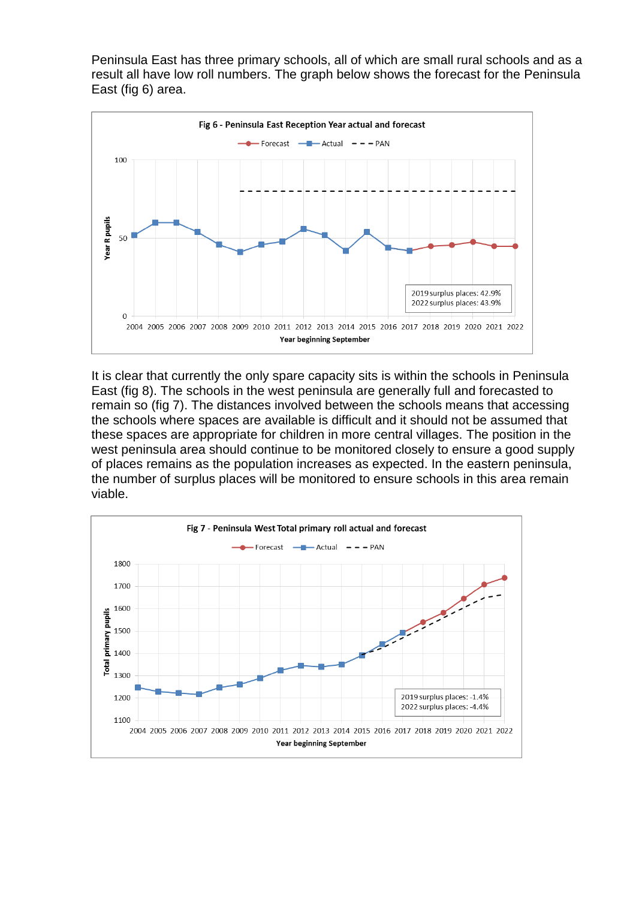Peninsula East has three primary schools, all of which are small rural schools and as a result all have low roll numbers. The graph below shows the forecast for the Peninsula East (fig 6) area.



It is clear that currently the only spare capacity sits is within the schools in Peninsula East (fig 8). The schools in the west peninsula are generally full and forecasted to remain so (fig 7). The distances involved between the schools means that accessing the schools where spaces are available is difficult and it should not be assumed that these spaces are appropriate for children in more central villages. The position in the west peninsula area should continue to be monitored closely to ensure a good supply of places remains as the population increases as expected. In the eastern peninsula, the number of surplus places will be monitored to ensure schools in this area remain viable.

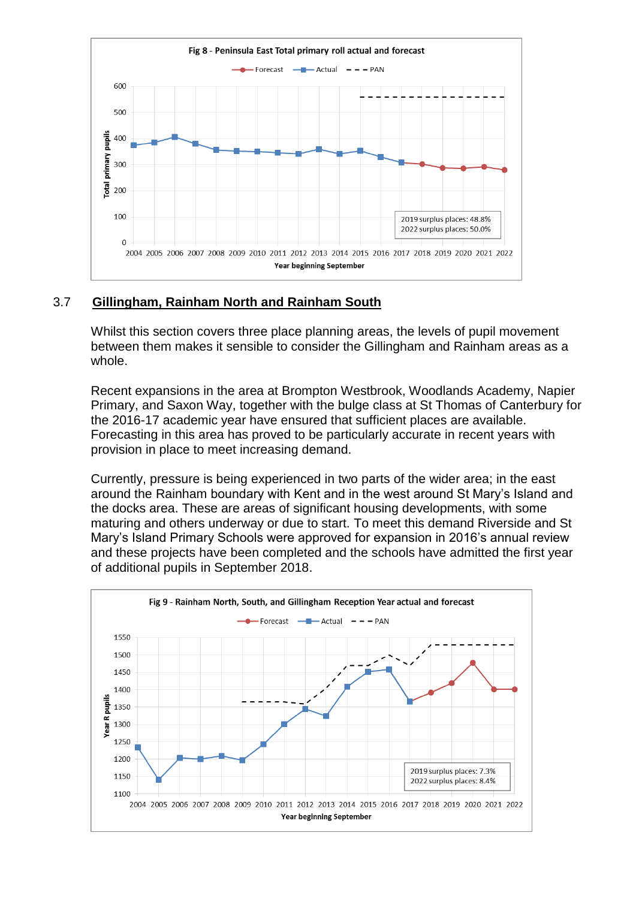

## 3.7 **Gillingham, Rainham North and Rainham South**

Whilst this section covers three place planning areas, the levels of pupil movement between them makes it sensible to consider the Gillingham and Rainham areas as a whole.

Recent expansions in the area at Brompton Westbrook, Woodlands Academy, Napier Primary, and Saxon Way, together with the bulge class at St Thomas of Canterbury for the 2016-17 academic year have ensured that sufficient places are available. Forecasting in this area has proved to be particularly accurate in recent years with provision in place to meet increasing demand.

Currently, pressure is being experienced in two parts of the wider area; in the east around the Rainham boundary with Kent and in the west around St Mary's Island and the docks area. These are areas of significant housing developments, with some maturing and others underway or due to start. To meet this demand Riverside and St Mary's Island Primary Schools were approved for expansion in 2016's annual review and these projects have been completed and the schools have admitted the first year of additional pupils in September 2018.

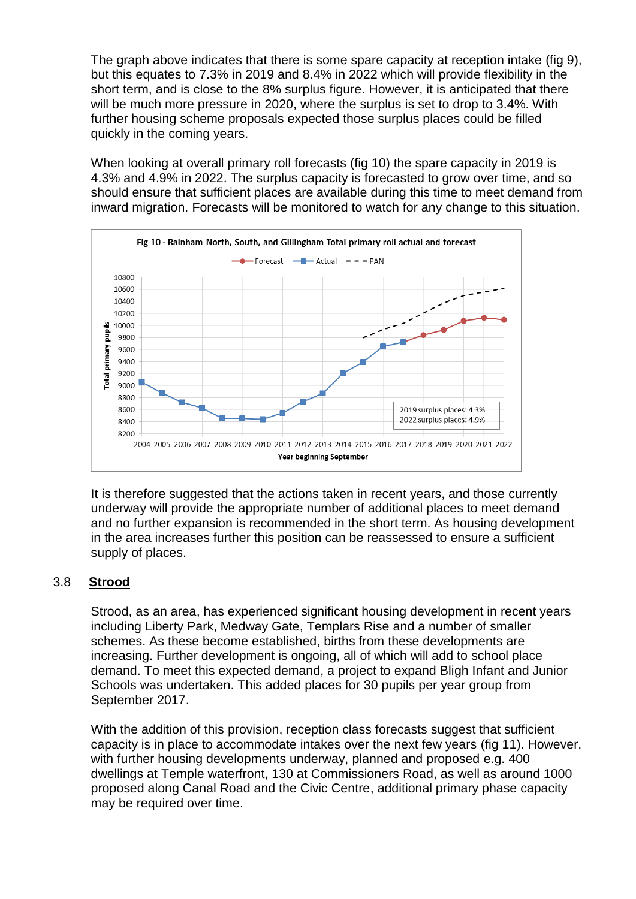The graph above indicates that there is some spare capacity at reception intake (fig 9), but this equates to 7.3% in 2019 and 8.4% in 2022 which will provide flexibility in the short term, and is close to the 8% surplus figure. However, it is anticipated that there will be much more pressure in 2020, where the surplus is set to drop to 3.4%. With further housing scheme proposals expected those surplus places could be filled quickly in the coming years.

When looking at overall primary roll forecasts (fig 10) the spare capacity in 2019 is 4.3% and 4.9% in 2022. The surplus capacity is forecasted to grow over time, and so should ensure that sufficient places are available during this time to meet demand from inward migration. Forecasts will be monitored to watch for any change to this situation.



It is therefore suggested that the actions taken in recent years, and those currently underway will provide the appropriate number of additional places to meet demand and no further expansion is recommended in the short term. As housing development in the area increases further this position can be reassessed to ensure a sufficient supply of places.

## 3.8 **Strood**

Strood, as an area, has experienced significant housing development in recent years including Liberty Park, Medway Gate, Templars Rise and a number of smaller schemes. As these become established, births from these developments are increasing. Further development is ongoing, all of which will add to school place demand. To meet this expected demand, a project to expand Bligh Infant and Junior Schools was undertaken. This added places for 30 pupils per year group from September 2017.

With the addition of this provision, reception class forecasts suggest that sufficient capacity is in place to accommodate intakes over the next few years (fig 11). However, with further housing developments underway, planned and proposed e.g. 400 dwellings at Temple waterfront, 130 at Commissioners Road, as well as around 1000 proposed along Canal Road and the Civic Centre, additional primary phase capacity may be required over time.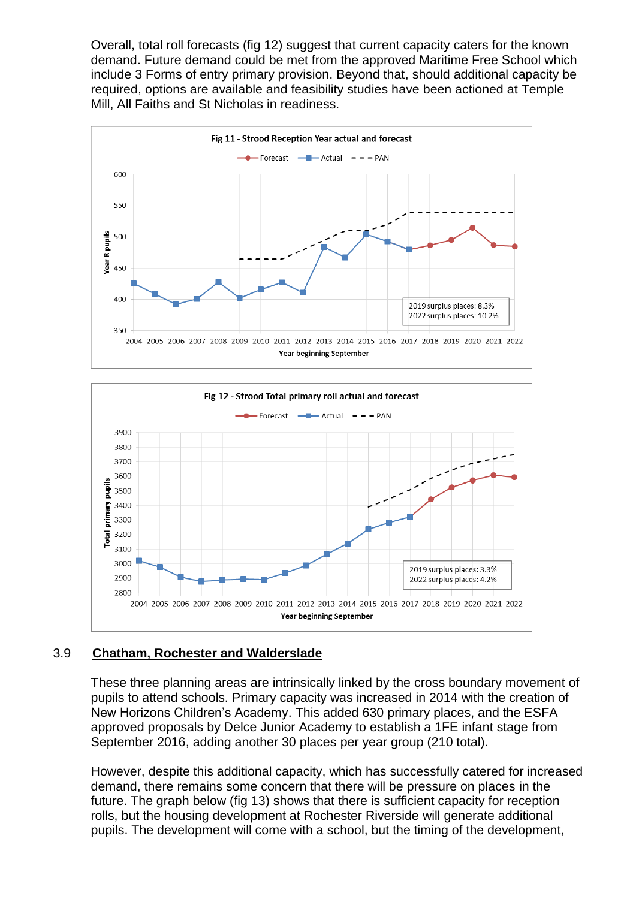Overall, total roll forecasts (fig 12) suggest that current capacity caters for the known demand. Future demand could be met from the approved Maritime Free School which include 3 Forms of entry primary provision. Beyond that, should additional capacity be required, options are available and feasibility studies have been actioned at Temple Mill, All Faiths and St Nicholas in readiness.





## 3.9 **Chatham, Rochester and Walderslade**

These three planning areas are intrinsically linked by the cross boundary movement of pupils to attend schools. Primary capacity was increased in 2014 with the creation of New Horizons Children's Academy. This added 630 primary places, and the ESFA approved proposals by Delce Junior Academy to establish a 1FE infant stage from September 2016, adding another 30 places per year group (210 total).

However, despite this additional capacity, which has successfully catered for increased demand, there remains some concern that there will be pressure on places in the future. The graph below (fig 13) shows that there is sufficient capacity for reception rolls, but the housing development at Rochester Riverside will generate additional pupils. The development will come with a school, but the timing of the development,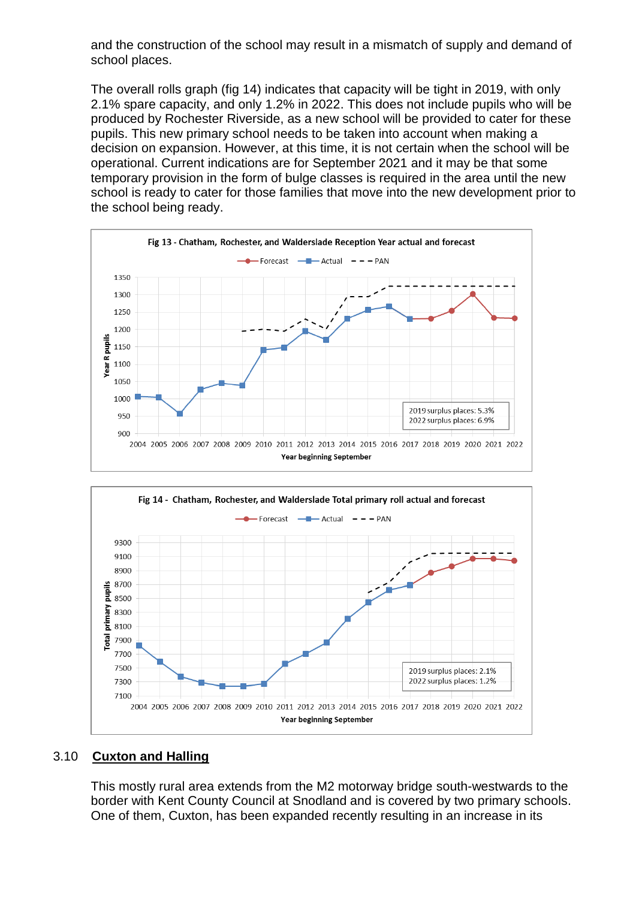and the construction of the school may result in a mismatch of supply and demand of school places.

The overall rolls graph (fig 14) indicates that capacity will be tight in 2019, with only 2.1% spare capacity, and only 1.2% in 2022. This does not include pupils who will be produced by Rochester Riverside, as a new school will be provided to cater for these pupils. This new primary school needs to be taken into account when making a decision on expansion. However, at this time, it is not certain when the school will be operational. Current indications are for September 2021 and it may be that some temporary provision in the form of bulge classes is required in the area until the new school is ready to cater for those families that move into the new development prior to the school being ready.





#### 3.10 **Cuxton and Halling**

This mostly rural area extends from the M2 motorway bridge south-westwards to the border with Kent County Council at Snodland and is covered by two primary schools. One of them, Cuxton, has been expanded recently resulting in an increase in its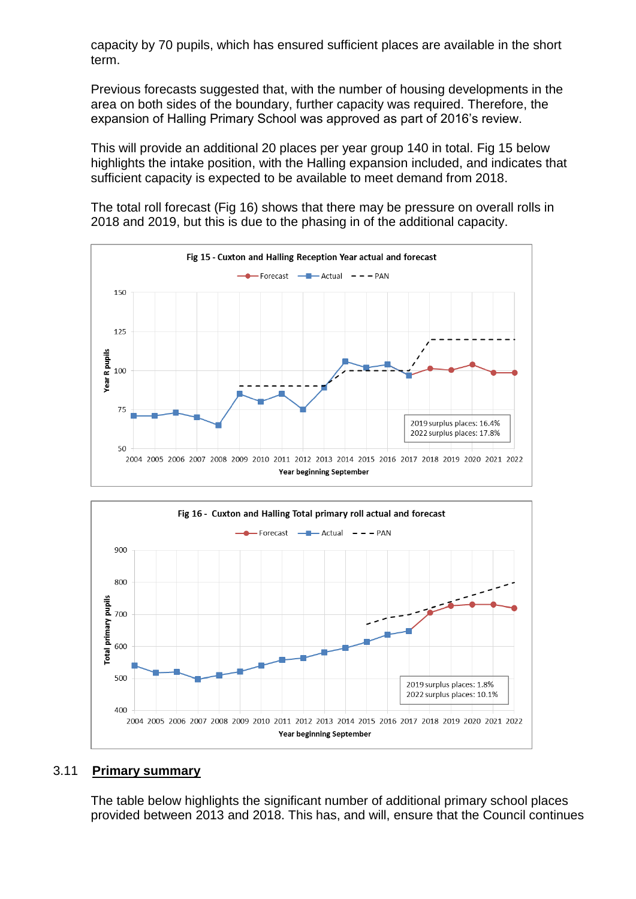capacity by 70 pupils, which has ensured sufficient places are available in the short term.

Previous forecasts suggested that, with the number of housing developments in the area on both sides of the boundary, further capacity was required. Therefore, the expansion of Halling Primary School was approved as part of 2016's review.

This will provide an additional 20 places per year group 140 in total. Fig 15 below highlights the intake position, with the Halling expansion included, and indicates that sufficient capacity is expected to be available to meet demand from 2018.

The total roll forecast (Fig 16) shows that there may be pressure on overall rolls in 2018 and 2019, but this is due to the phasing in of the additional capacity.





#### 3.11 **Primary summary**

The table below highlights the significant number of additional primary school places provided between 2013 and 2018. This has, and will, ensure that the Council continues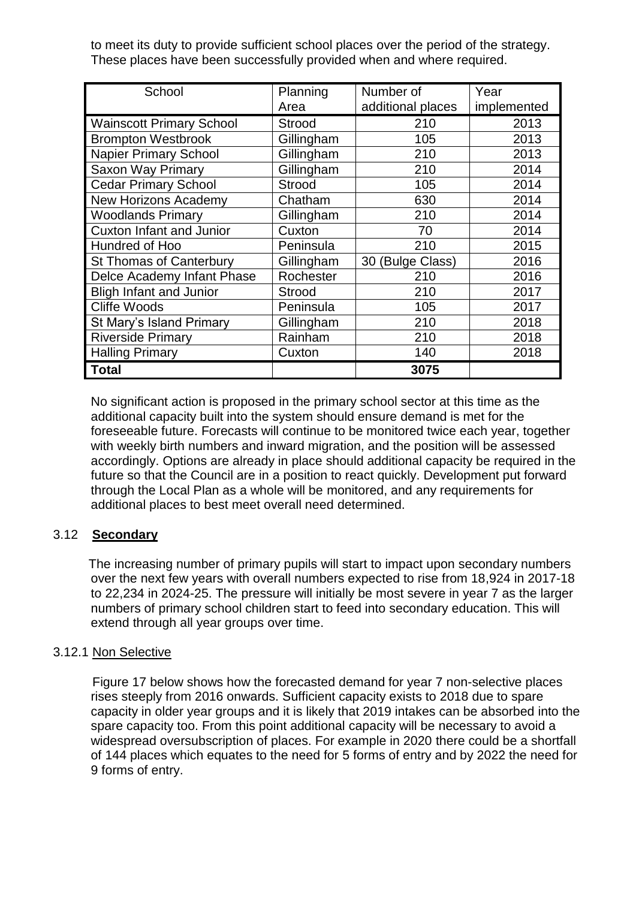to meet its duty to provide sufficient school places over the period of the strategy. These places have been successfully provided when and where required.

| School                          | Planning      | Number of         | Year        |
|---------------------------------|---------------|-------------------|-------------|
|                                 | Area          | additional places | implemented |
| <b>Wainscott Primary School</b> | <b>Strood</b> | 210               | 2013        |
| <b>Brompton Westbrook</b>       | Gillingham    | 105               | 2013        |
| <b>Napier Primary School</b>    | Gillingham    | 210               | 2013        |
| Saxon Way Primary               | Gillingham    | 210               | 2014        |
| <b>Cedar Primary School</b>     | <b>Strood</b> | 105               | 2014        |
| <b>New Horizons Academy</b>     | Chatham       | 630               | 2014        |
| <b>Woodlands Primary</b>        | Gillingham    | 210               | 2014        |
| <b>Cuxton Infant and Junior</b> | Cuxton        | 70                | 2014        |
| Hundred of Hoo                  | Peninsula     | 210               | 2015        |
| <b>St Thomas of Canterbury</b>  | Gillingham    | 30 (Bulge Class)  | 2016        |
| Delce Academy Infant Phase      | Rochester     | 210               | 2016        |
| <b>Bligh Infant and Junior</b>  | <b>Strood</b> | 210               | 2017        |
| <b>Cliffe Woods</b>             | Peninsula     | 105               | 2017        |
| St Mary's Island Primary        | Gillingham    | 210               | 2018        |
| <b>Riverside Primary</b>        | Rainham       | 210               | 2018        |
| <b>Halling Primary</b>          | Cuxton        | 140               | 2018        |
| <b>Total</b>                    |               | 3075              |             |

No significant action is proposed in the primary school sector at this time as the additional capacity built into the system should ensure demand is met for the foreseeable future. Forecasts will continue to be monitored twice each year, together with weekly birth numbers and inward migration, and the position will be assessed accordingly. Options are already in place should additional capacity be required in the future so that the Council are in a position to react quickly. Development put forward through the Local Plan as a whole will be monitored, and any requirements for additional places to best meet overall need determined.

## 3.12 **Secondary**

 The increasing number of primary pupils will start to impact upon secondary numbers over the next few years with overall numbers expected to rise from 18,924 in 2017-18 to 22,234 in 2024-25. The pressure will initially be most severe in year 7 as the larger numbers of primary school children start to feed into secondary education. This will extend through all year groups over time.

## 3.12.1 Non Selective

 Figure 17 below shows how the forecasted demand for year 7 non-selective places rises steeply from 2016 onwards. Sufficient capacity exists to 2018 due to spare capacity in older year groups and it is likely that 2019 intakes can be absorbed into the spare capacity too. From this point additional capacity will be necessary to avoid a widespread oversubscription of places. For example in 2020 there could be a shortfall of 144 places which equates to the need for 5 forms of entry and by 2022 the need for 9 forms of entry.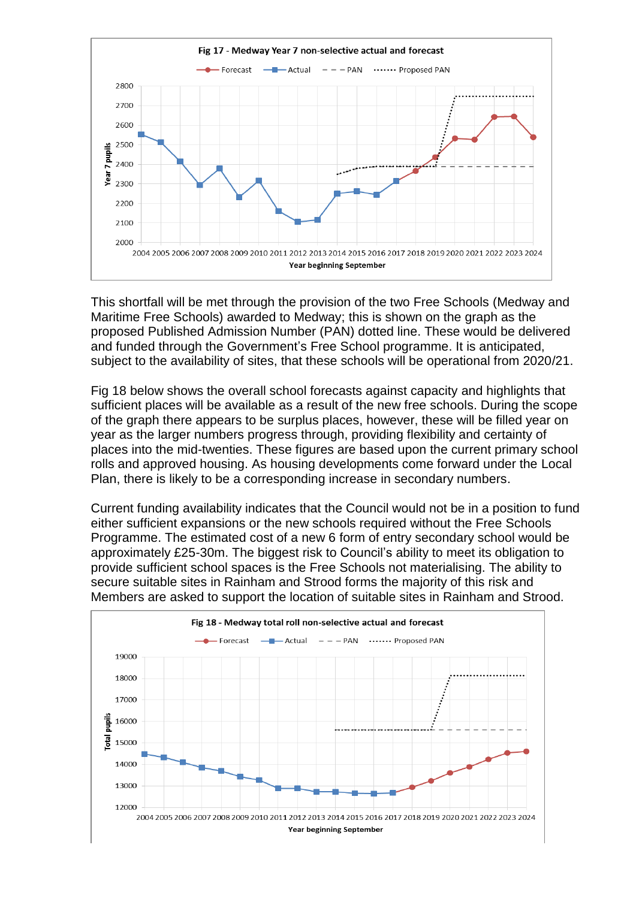

This shortfall will be met through the provision of the two Free Schools (Medway and Maritime Free Schools) awarded to Medway; this is shown on the graph as the proposed Published Admission Number (PAN) dotted line. These would be delivered and funded through the Government's Free School programme. It is anticipated, subject to the availability of sites, that these schools will be operational from 2020/21.

Fig 18 below shows the overall school forecasts against capacity and highlights that sufficient places will be available as a result of the new free schools. During the scope of the graph there appears to be surplus places, however, these will be filled year on year as the larger numbers progress through, providing flexibility and certainty of places into the mid-twenties. These figures are based upon the current primary school rolls and approved housing. As housing developments come forward under the Local Plan, there is likely to be a corresponding increase in secondary numbers.

Current funding availability indicates that the Council would not be in a position to fund either sufficient expansions or the new schools required without the Free Schools Programme. The estimated cost of a new 6 form of entry secondary school would be approximately £25-30m. The biggest risk to Council's ability to meet its obligation to provide sufficient school spaces is the Free Schools not materialising. The ability to secure suitable sites in Rainham and Strood forms the majority of this risk and Members are asked to support the location of suitable sites in Rainham and Strood.

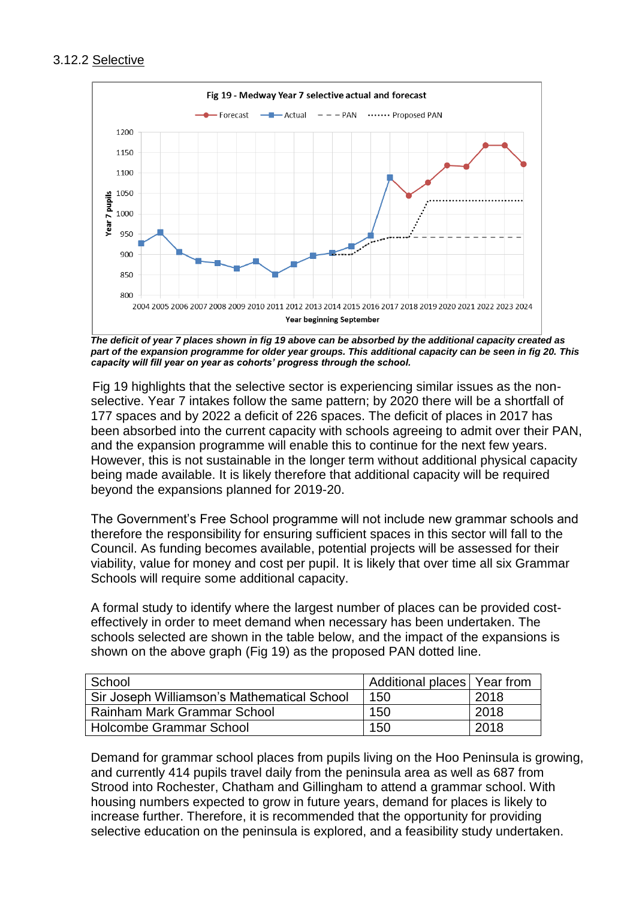## 3.12.2 Selective



 *The deficit of year 7 places shown in fig 19 above can be absorbed by the additional capacity created as part of the expansion programme for older year groups. This additional capacity can be seen in fig 20. This capacity will fill year on year as cohorts' progress through the school.*

 Fig 19 highlights that the selective sector is experiencing similar issues as the nonselective. Year 7 intakes follow the same pattern; by 2020 there will be a shortfall of 177 spaces and by 2022 a deficit of 226 spaces. The deficit of places in 2017 has been absorbed into the current capacity with schools agreeing to admit over their PAN, and the expansion programme will enable this to continue for the next few years. However, this is not sustainable in the longer term without additional physical capacity being made available. It is likely therefore that additional capacity will be required beyond the expansions planned for 2019-20.

The Government's Free School programme will not include new grammar schools and therefore the responsibility for ensuring sufficient spaces in this sector will fall to the Council. As funding becomes available, potential projects will be assessed for their viability, value for money and cost per pupil. It is likely that over time all six Grammar Schools will require some additional capacity.

A formal study to identify where the largest number of places can be provided costeffectively in order to meet demand when necessary has been undertaken. The schools selected are shown in the table below, and the impact of the expansions is shown on the above graph (Fig 19) as the proposed PAN dotted line.

| School                                      | Additional places   Year from |      |
|---------------------------------------------|-------------------------------|------|
| Sir Joseph Williamson's Mathematical School | 150                           | 2018 |
| Rainham Mark Grammar School                 | 150                           | 2018 |
| Holcombe Grammar School                     | 150                           | 2018 |

Demand for grammar school places from pupils living on the Hoo Peninsula is growing, and currently 414 pupils travel daily from the peninsula area as well as 687 from Strood into Rochester, Chatham and Gillingham to attend a grammar school. With housing numbers expected to grow in future years, demand for places is likely to increase further. Therefore, it is recommended that the opportunity for providing selective education on the peninsula is explored, and a feasibility study undertaken.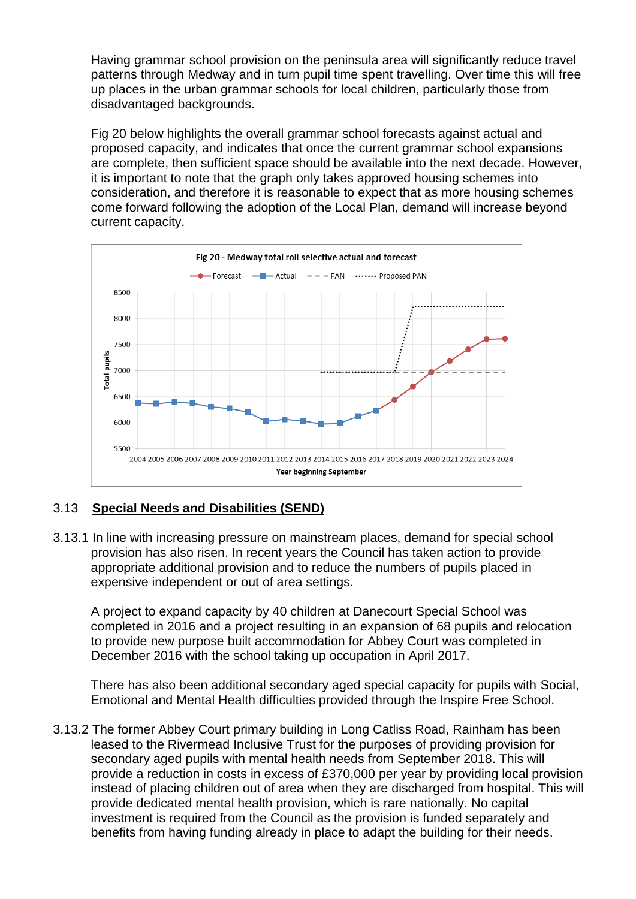Having grammar school provision on the peninsula area will significantly reduce travel patterns through Medway and in turn pupil time spent travelling. Over time this will free up places in the urban grammar schools for local children, particularly those from disadvantaged backgrounds.

Fig 20 below highlights the overall grammar school forecasts against actual and proposed capacity, and indicates that once the current grammar school expansions are complete, then sufficient space should be available into the next decade. However, it is important to note that the graph only takes approved housing schemes into consideration, and therefore it is reasonable to expect that as more housing schemes come forward following the adoption of the Local Plan, demand will increase beyond current capacity.



## 3.13 **Special Needs and Disabilities (SEND)**

3.13.1 In line with increasing pressure on mainstream places, demand for special school provision has also risen. In recent years the Council has taken action to provide appropriate additional provision and to reduce the numbers of pupils placed in expensive independent or out of area settings.

A project to expand capacity by 40 children at Danecourt Special School was completed in 2016 and a project resulting in an expansion of 68 pupils and relocation to provide new purpose built accommodation for Abbey Court was completed in December 2016 with the school taking up occupation in April 2017.

There has also been additional secondary aged special capacity for pupils with Social, Emotional and Mental Health difficulties provided through the Inspire Free School.

3.13.2 The former Abbey Court primary building in Long Catliss Road, Rainham has been leased to the Rivermead Inclusive Trust for the purposes of providing provision for secondary aged pupils with mental health needs from September 2018. This will provide a reduction in costs in excess of £370,000 per year by providing local provision instead of placing children out of area when they are discharged from hospital. This will provide dedicated mental health provision, which is rare nationally. No capital investment is required from the Council as the provision is funded separately and benefits from having funding already in place to adapt the building for their needs.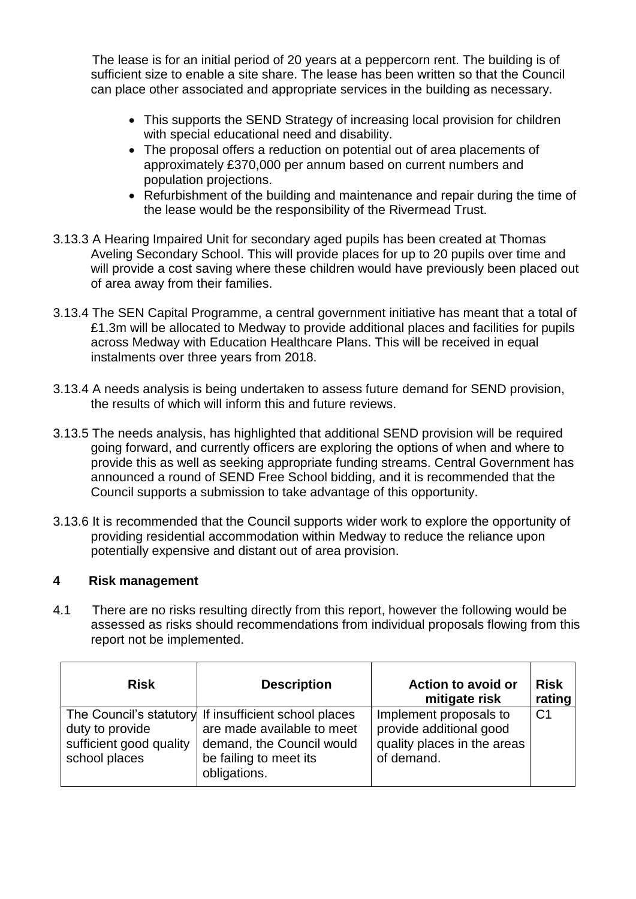The lease is for an initial period of 20 years at a peppercorn rent. The building is of sufficient size to enable a site share. The lease has been written so that the Council can place other associated and appropriate services in the building as necessary.

- This supports the SEND Strategy of increasing local provision for children with special educational need and disability.
- The proposal offers a reduction on potential out of area placements of approximately £370,000 per annum based on current numbers and population projections.
- Refurbishment of the building and maintenance and repair during the time of the lease would be the responsibility of the Rivermead Trust.
- 3.13.3 A Hearing Impaired Unit for secondary aged pupils has been created at Thomas Aveling Secondary School. This will provide places for up to 20 pupils over time and will provide a cost saving where these children would have previously been placed out of area away from their families.
- 3.13.4 The SEN Capital Programme, a central government initiative has meant that a total of £1.3m will be allocated to Medway to provide additional places and facilities for pupils across Medway with Education Healthcare Plans. This will be received in equal instalments over three years from 2018.
- 3.13.4 A needs analysis is being undertaken to assess future demand for SEND provision, the results of which will inform this and future reviews.
- 3.13.5 The needs analysis, has highlighted that additional SEND provision will be required going forward, and currently officers are exploring the options of when and where to provide this as well as seeking appropriate funding streams. Central Government has announced a round of SEND Free School bidding, and it is recommended that the Council supports a submission to take advantage of this opportunity.
- 3.13.6 It is recommended that the Council supports wider work to explore the opportunity of providing residential accommodation within Medway to reduce the reliance upon potentially expensive and distant out of area provision.

#### **4 Risk management**

4.1 There are no risks resulting directly from this report, however the following would be assessed as risks should recommendations from individual proposals flowing from this report not be implemented.

| <b>Risk</b>                                                 | <b>Description</b>                                                                                                                                         | <b>Action to avoid or</b><br>mitigate risk                                                     | <b>Risk</b><br>rating |
|-------------------------------------------------------------|------------------------------------------------------------------------------------------------------------------------------------------------------------|------------------------------------------------------------------------------------------------|-----------------------|
| duty to provide<br>sufficient good quality<br>school places | The Council's statutory If insufficient school places<br>are made available to meet<br>demand, the Council would<br>be failing to meet its<br>obligations. | Implement proposals to<br>provide additional good<br>quality places in the areas<br>of demand. | C <sub>1</sub>        |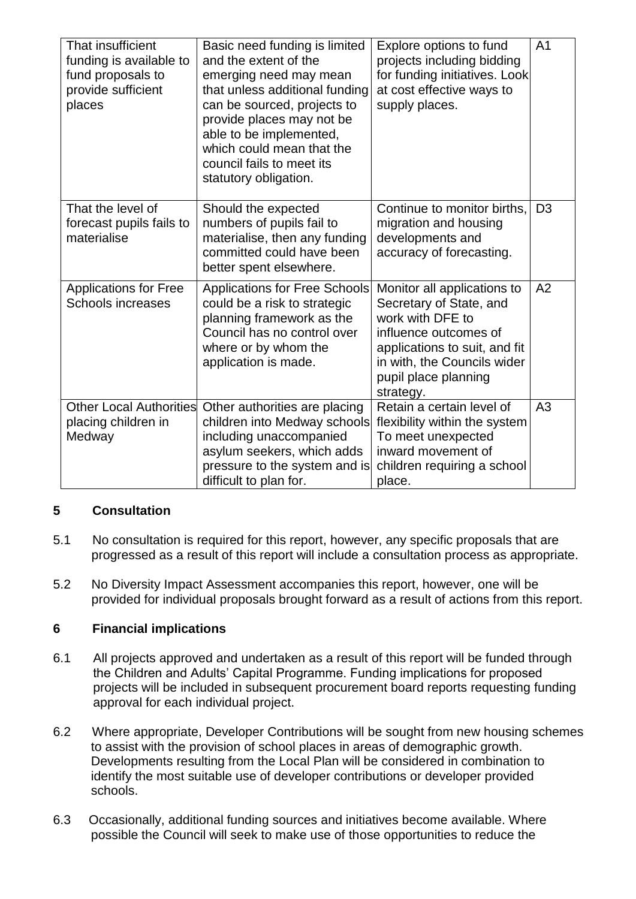| That insufficient<br>funding is available to<br>fund proposals to<br>provide sufficient<br>places | Basic need funding is limited<br>and the extent of the<br>emerging need may mean<br>that unless additional funding<br>can be sourced, projects to<br>provide places may not be<br>able to be implemented,<br>which could mean that the<br>council fails to meet its<br>statutory obligation. | Explore options to fund<br>projects including bidding<br>for funding initiatives. Look<br>at cost effective ways to<br>supply places.                                                                    | A <sub>1</sub> |
|---------------------------------------------------------------------------------------------------|----------------------------------------------------------------------------------------------------------------------------------------------------------------------------------------------------------------------------------------------------------------------------------------------|----------------------------------------------------------------------------------------------------------------------------------------------------------------------------------------------------------|----------------|
| That the level of<br>forecast pupils fails to<br>materialise                                      | Should the expected<br>numbers of pupils fail to<br>materialise, then any funding<br>committed could have been<br>better spent elsewhere.                                                                                                                                                    | Continue to monitor births.<br>migration and housing<br>developments and<br>accuracy of forecasting.                                                                                                     | D <sub>3</sub> |
| <b>Applications for Free</b><br>Schools increases                                                 | <b>Applications for Free Schools</b><br>could be a risk to strategic<br>planning framework as the<br>Council has no control over<br>where or by whom the<br>application is made.                                                                                                             | Monitor all applications to<br>Secretary of State, and<br>work with DFE to<br>influence outcomes of<br>applications to suit, and fit<br>in with, the Councils wider<br>pupil place planning<br>strategy. | A <sub>2</sub> |
| <b>Other Local Authorities</b><br>placing children in<br>Medway                                   | Other authorities are placing<br>children into Medway schools<br>including unaccompanied<br>asylum seekers, which adds<br>pressure to the system and is<br>difficult to plan for.                                                                                                            | Retain a certain level of<br>flexibility within the system<br>To meet unexpected<br>inward movement of<br>children requiring a school<br>place.                                                          | A3             |

## **5 Consultation**

- 5.1 No consultation is required for this report, however, any specific proposals that are progressed as a result of this report will include a consultation process as appropriate.
- 5.2 No Diversity Impact Assessment accompanies this report, however, one will be provided for individual proposals brought forward as a result of actions from this report.

## **6 Financial implications**

- 6.1 All projects approved and undertaken as a result of this report will be funded through the Children and Adults' Capital Programme. Funding implications for proposed projects will be included in subsequent procurement board reports requesting funding approval for each individual project.
- 6.2 Where appropriate, Developer Contributions will be sought from new housing schemes to assist with the provision of school places in areas of demographic growth. Developments resulting from the Local Plan will be considered in combination to identify the most suitable use of developer contributions or developer provided schools.
- 6.3 Occasionally, additional funding sources and initiatives become available. Where possible the Council will seek to make use of those opportunities to reduce the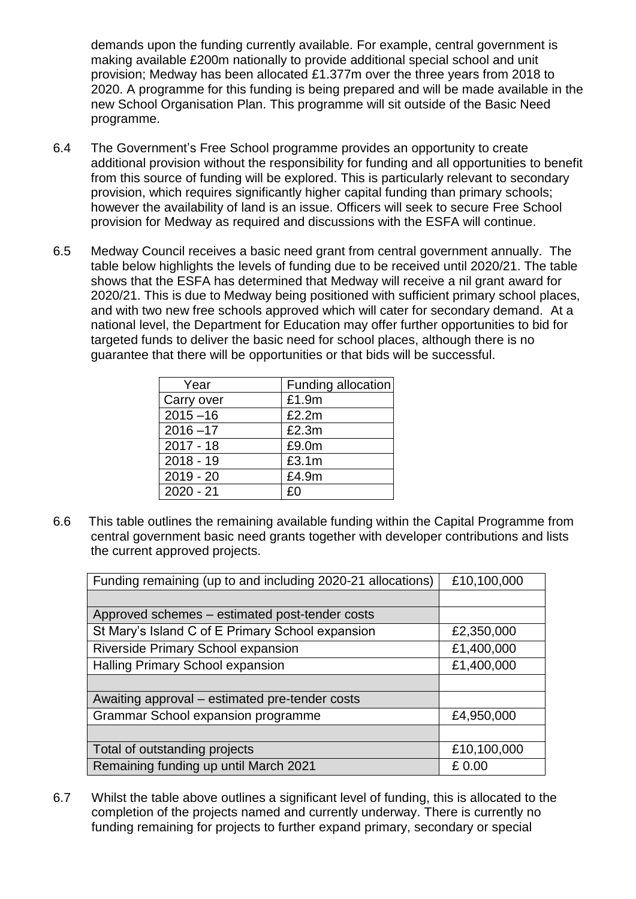demands upon the funding currently available. For example, central government is making available £200m nationally to provide additional special school and unit provision; Medway has been allocated £1.377m over the three years from 2018 to 2020. A programme for this funding is being prepared and will be made available in the new School Organisation Plan. This programme will sit outside of the Basic Need programme.

- 6.4 The Government's Free School programme provides an opportunity to create additional provision without the responsibility for funding and all opportunities to benefit from this source of funding will be explored. This is particularly relevant to secondary provision, which requires significantly higher capital funding than primary schools; however the availability of land is an issue. Officers will seek to secure Free School provision for Medway as required and discussions with the ESFA will continue.
- 6.5 Medway Council receives a basic need grant from central government annually. The table below highlights the levels of funding due to be received until 2020/21. The table shows that the ESFA has determined that Medway will receive a nil grant award for 2020/21. This is due to Medway being positioned with sufficient primary school places, and with two new free schools approved which will cater for secondary demand. At a national level, the Department for Education may offer further opportunities to bid for targeted funds to deliver the basic need for school places, although there is no guarantee that there will be opportunities or that bids will be successful.

| Year        | Funding allocation |
|-------------|--------------------|
| Carry over  | £1.9m              |
| $2015 - 16$ | £2.2m              |
| $2016 - 17$ | £2.3m              |
| $2017 - 18$ | £9.0m              |
| $2018 - 19$ | £3.1m              |
| $2019 - 20$ | £4.9m              |
| $2020 - 21$ | £0                 |

6.6 This table outlines the remaining available funding within the Capital Programme from central government basic need grants together with developer contributions and lists the current approved projects.

| Funding remaining (up to and including 2020-21 allocations) | £10,100,000 |
|-------------------------------------------------------------|-------------|
|                                                             |             |
| Approved schemes – estimated post-tender costs              |             |
| St Mary's Island C of E Primary School expansion            | £2,350,000  |
| Riverside Primary School expansion                          | £1,400,000  |
| <b>Halling Primary School expansion</b>                     | £1,400,000  |
|                                                             |             |
| Awaiting approval – estimated pre-tender costs              |             |
| Grammar School expansion programme                          | £4,950,000  |
|                                                             |             |
| Total of outstanding projects                               | £10,100,000 |
| Remaining funding up until March 2021                       | £0.00       |

6.7 Whilst the table above outlines a significant level of funding, this is allocated to the completion of the projects named and currently underway. There is currently no funding remaining for projects to further expand primary, secondary or special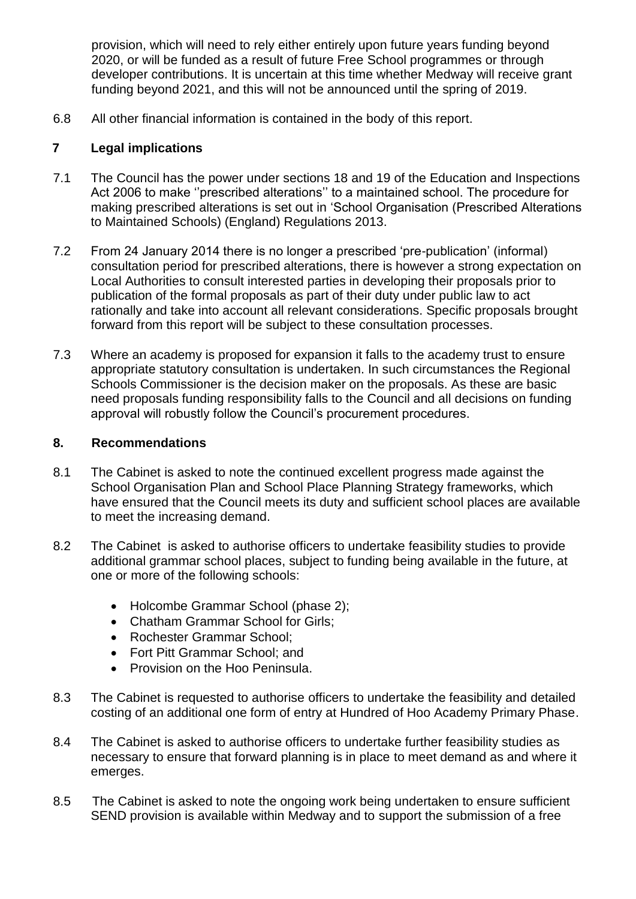provision, which will need to rely either entirely upon future years funding beyond 2020, or will be funded as a result of future Free School programmes or through developer contributions. It is uncertain at this time whether Medway will receive grant funding beyond 2021, and this will not be announced until the spring of 2019.

6.8 All other financial information is contained in the body of this report.

## **7 Legal implications**

- 7.1 The Council has the power under sections 18 and 19 of the Education and Inspections Act 2006 to make ''prescribed alterations'' to a maintained school. The procedure for making prescribed alterations is set out in 'School Organisation (Prescribed Alterations to Maintained Schools) (England) Regulations 2013.
- 7.2 From 24 January 2014 there is no longer a prescribed 'pre-publication' (informal) consultation period for prescribed alterations, there is however a strong expectation on Local Authorities to consult interested parties in developing their proposals prior to publication of the formal proposals as part of their duty under public law to act rationally and take into account all relevant considerations. Specific proposals brought forward from this report will be subject to these consultation processes.
- 7.3 Where an academy is proposed for expansion it falls to the academy trust to ensure appropriate statutory consultation is undertaken. In such circumstances the Regional Schools Commissioner is the decision maker on the proposals. As these are basic need proposals funding responsibility falls to the Council and all decisions on funding approval will robustly follow the Council's procurement procedures.

## **8. Recommendations**

- 8.1 The Cabinet is asked to note the continued excellent progress made against the School Organisation Plan and School Place Planning Strategy frameworks, which have ensured that the Council meets its duty and sufficient school places are available to meet the increasing demand.
- 8.2 The Cabinet is asked to authorise officers to undertake feasibility studies to provide additional grammar school places, subject to funding being available in the future, at one or more of the following schools:
	- Holcombe Grammar School (phase 2);
	- Chatham Grammar School for Girls;
	- Rochester Grammar School:
	- Fort Pitt Grammar School; and
	- Provision on the Hoo Peninsula.
- 8.3 The Cabinet is requested to authorise officers to undertake the feasibility and detailed costing of an additional one form of entry at Hundred of Hoo Academy Primary Phase.
- 8.4 The Cabinet is asked to authorise officers to undertake further feasibility studies as necessary to ensure that forward planning is in place to meet demand as and where it emerges.
- 8.5 The Cabinet is asked to note the ongoing work being undertaken to ensure sufficient SEND provision is available within Medway and to support the submission of a free